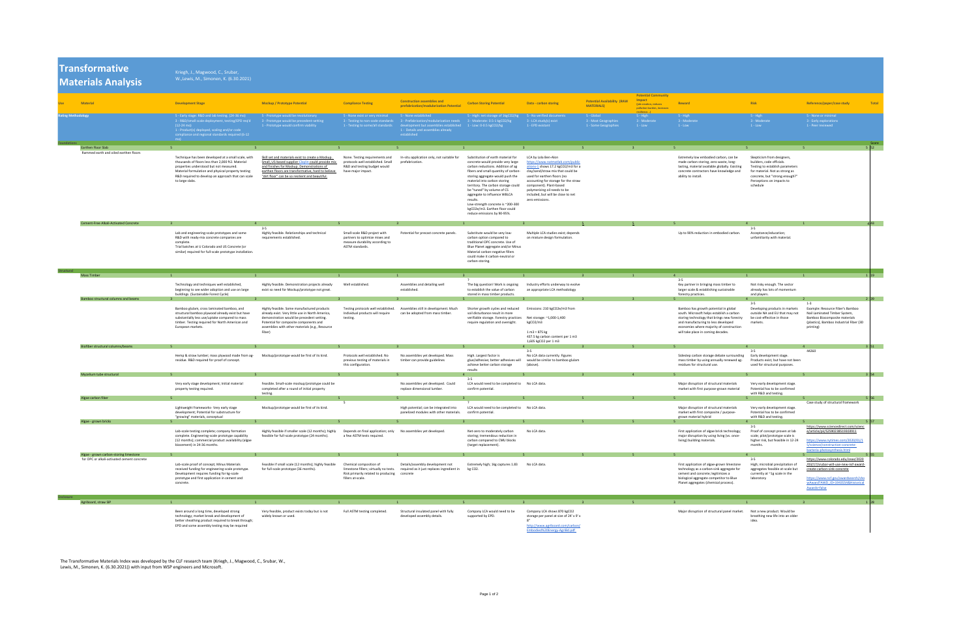|                           | <b>Transformative</b><br>Materials Analysis                                           | Kriegh, J., Magwood, C., Srubar,<br>W., Lewis, M., Simonen, K. (6.30.2021)                                                                                                                                                                                                         |                                                                                                                                                                                                                                                               |                                                                                                                           |                                                                                                                                                                                                                                                                 |                                                                                                                                                                                                                                                                                                                                                                                                                                                 |                                                                                                                                                                                                                                                                                                                                |                                                            |                                                        |                                                                                                                                                                                                                                                            |                                                                                                                                                                                                         |                                                                                                                                                                                 |
|---------------------------|---------------------------------------------------------------------------------------|------------------------------------------------------------------------------------------------------------------------------------------------------------------------------------------------------------------------------------------------------------------------------------|---------------------------------------------------------------------------------------------------------------------------------------------------------------------------------------------------------------------------------------------------------------|---------------------------------------------------------------------------------------------------------------------------|-----------------------------------------------------------------------------------------------------------------------------------------------------------------------------------------------------------------------------------------------------------------|-------------------------------------------------------------------------------------------------------------------------------------------------------------------------------------------------------------------------------------------------------------------------------------------------------------------------------------------------------------------------------------------------------------------------------------------------|--------------------------------------------------------------------------------------------------------------------------------------------------------------------------------------------------------------------------------------------------------------------------------------------------------------------------------|------------------------------------------------------------|--------------------------------------------------------|------------------------------------------------------------------------------------------------------------------------------------------------------------------------------------------------------------------------------------------------------------|---------------------------------------------------------------------------------------------------------------------------------------------------------------------------------------------------------|---------------------------------------------------------------------------------------------------------------------------------------------------------------------------------|
|                           |                                                                                       |                                                                                                                                                                                                                                                                                    |                                                                                                                                                                                                                                                               |                                                                                                                           | <b>Construction assemblies and</b>                                                                                                                                                                                                                              |                                                                                                                                                                                                                                                                                                                                                                                                                                                 |                                                                                                                                                                                                                                                                                                                                | <b>Potential Availability (RAW</b>                         | <b>Potential Community</b><br><b>Impact</b>            |                                                                                                                                                                                                                                                            |                                                                                                                                                                                                         |                                                                                                                                                                                 |
|                           | <b>Material</b>                                                                       | <b>Development Stage</b>                                                                                                                                                                                                                                                           | <b>Mockup / Prototype Potential</b>                                                                                                                                                                                                                           | <b>Compliance Testing</b>                                                                                                 | prefabrication/modularization Potentia                                                                                                                                                                                                                          | <b>Carbon Storing Potential</b>                                                                                                                                                                                                                                                                                                                                                                                                                 | <b>Data - carbon storing</b>                                                                                                                                                                                                                                                                                                   | <b>MATERIALS)</b>                                          | (job creation, reduces<br>pollution burden, increases  | Reward                                                                                                                                                                                                                                                     | <b>Risk</b>                                                                                                                                                                                             | Reference/paper/case study<br>Total                                                                                                                                             |
| <b>Rating Methodology</b> |                                                                                       | 5 - Early stage: R&D and lab testing. (24-36 mo)<br>3 - R&D/small scale deployment, testing/EPD req'd<br>$(12-24 \text{ mo})$<br>1 - Product(s) deployed, scaling and/or code<br>compliance and regional standards required (6-12<br>m <sub>0</sub>                                | 5 - Prototype would be revolutionary<br>3 - Prototype would be precedent-setting<br>1 - Prototype would confirm viability                                                                                                                                     | 5 - None exist or very minimal 5 - None established                                                                       | 3 - Testing to non-code standards 3 - Prefabrication/modularization needs 3 - Moderate: 0.5-1 kgCO2/kg<br>1 - Testing to some/all standards development but assemblies established 1 - Low: 0-0.5 kgCO2/kg<br>1 - Details and assemblies already<br>established | 5 - High: net storage of 1kgCO2/kg 5 - No verified documents                                                                                                                                                                                                                                                                                                                                                                                    | 3 - LCA study(s) exist<br>1 - EPD existant                                                                                                                                                                                                                                                                                     | 5 - Global<br>3 - Most Geographies<br>1 - Some Geographies | resilience)<br>$5 - High$<br>3 - Moderate<br>$1 - Low$ | $5 - High$<br>3 - Moderate<br>$1 - Low$                                                                                                                                                                                                                    | $-5$ - High<br>3 - Moderate<br>$1 - Low$                                                                                                                                                                | 5 - None or minimal<br>3 - Early explorations<br>1 - Peer reviewed                                                                                                              |
| oundations                | <b>Earthen Floor Slab</b>                                                             |                                                                                                                                                                                                                                                                                    |                                                                                                                                                                                                                                                               |                                                                                                                           |                                                                                                                                                                                                                                                                 |                                                                                                                                                                                                                                                                                                                                                                                                                                                 |                                                                                                                                                                                                                                                                                                                                |                                                            |                                                        |                                                                                                                                                                                                                                                            |                                                                                                                                                                                                         | Score<br>5 52                                                                                                                                                                   |
|                           | Rammed earth and oiled earthen floors                                                 | Technique has been developed at a small scale, with<br>thousands of floors less than 2,000 ft2. Material<br>properties understood but not measured.<br>Material formulation and physical property testing<br>R&D required to develop an approach that can scale<br>to large slabs. | Skill set and materials exist to create a Mockup.<br>Small, US-based supplier Claylin could provide mi<br>and finishes for Mockup. Demonstrations of<br>earthen floors are transformative, hard to believe<br>"dirt floor" can be so resilient and beautiful. | None. Testing requirements and<br>protocols well established. Small<br>R&D and testing budget would<br>have major impact. | In-situ application only, not suitable for<br>prefabrication.                                                                                                                                                                                                   | Substitution of earth material for<br>concrete would provide very large<br>carbon reductions. Addition of ag<br>fibers and small quantity of carbon-<br>storing aggregate would push the<br>material into carbon storing<br>territory. The carbon storage could<br>be "tuned" by volume of CS<br>aggregate to influence WBLCA<br>results.<br>Low-strength concrete is ~200-300<br>kgCO2e/m3. Earthen floor could<br>reduce emissions by 90-95%. | LCA by Lola Ben-Alon<br>https://www.natmatlab.com/public<br>ations-1 shows 17.2 kgCO2/m3 for a<br>clay/sand/straw mix that could be<br>used for earthen floors (no<br>accounting for storage for the straw<br>component). Plant-based<br>polymerizing oil needs to be<br>included, but will be close to net<br>zero emissions. |                                                            |                                                        | Extremely low embodied carbon, can be<br>made carbon storing, zero waste, long-<br>lasting, material available globally. Existing<br>concrete contractors have knowledge an<br>ability to install.                                                         | Skepticism from designers,<br>builders, code officials.<br>Testing to establish parameters<br>for material. Not as strong as<br>concrete, but "strong enough?"<br>Perceptions on impacts to<br>schedule |                                                                                                                                                                                 |
|                           | Cement-Free Alkali-Activated Concrete                                                 |                                                                                                                                                                                                                                                                                    |                                                                                                                                                                                                                                                               |                                                                                                                           |                                                                                                                                                                                                                                                                 |                                                                                                                                                                                                                                                                                                                                                                                                                                                 |                                                                                                                                                                                                                                                                                                                                |                                                            |                                                        |                                                                                                                                                                                                                                                            |                                                                                                                                                                                                         |                                                                                                                                                                                 |
|                           |                                                                                       | Lab and engineering-scale prototypes and some<br>R&D with ready-mix concrete companies are<br>complete.<br>Trial batches at U Colorado and US Concrete (or<br>similar) required for full-scale prototype installation.                                                             | Highly feasible. Relationships and technical<br>requirements established.                                                                                                                                                                                     | Small-scale R&D project with<br>partners to optimize mixes and<br>measure durability according to<br>ASTM standards.      | Potential for precast concrete panels                                                                                                                                                                                                                           | Substitute would be very low-<br>carbon option compared to<br>traditional OPC concrete. Use of<br>Blue Planet aggregate and/or Minus<br>Material carbon-negative fillers<br>could make it carbon-neutral or<br>carbon-storing.                                                                                                                                                                                                                  | Multiple LCA studies exist; depends<br>on mixture design formulation.                                                                                                                                                                                                                                                          |                                                            |                                                        | Up to 90% reduction in embodied carbon                                                                                                                                                                                                                     | $3 - 5$<br>Acceptance/education;<br>unfamiliarity with material.                                                                                                                                        |                                                                                                                                                                                 |
| <b>Structural</b>         | <b>Mass Timber</b>                                                                    |                                                                                                                                                                                                                                                                                    |                                                                                                                                                                                                                                                               |                                                                                                                           |                                                                                                                                                                                                                                                                 |                                                                                                                                                                                                                                                                                                                                                                                                                                                 |                                                                                                                                                                                                                                                                                                                                |                                                            |                                                        |                                                                                                                                                                                                                                                            |                                                                                                                                                                                                         |                                                                                                                                                                                 |
|                           |                                                                                       | Technology and techniques well established,<br>beginning to see wider adoption and use on large<br>buildings. (Sustainable Forest Cycle)                                                                                                                                           | Highly feasible. Demonstration projects already<br>exist so need for Mockup/prototype not great.                                                                                                                                                              | Well established.                                                                                                         | Assemblies and detailing well<br>established.                                                                                                                                                                                                                   | The big question! Work is ongoing<br>to establish the value of carbon<br>stored in mass timber products.                                                                                                                                                                                                                                                                                                                                        | Industry efforts underway to evolve<br>an appropriate LCA methodology                                                                                                                                                                                                                                                          |                                                            |                                                        | Key partner in bringing mass timber to<br>larger scale & establishing sustainable<br>forestry practices.                                                                                                                                                   | Not risky enough. The sector<br>already has lots of momentum<br>and players.                                                                                                                            |                                                                                                                                                                                 |
|                           | Bamboo structural columns and beams                                                   | Bamboo glulam, cross laminated bamboo, and<br>structural bamboo plywood already exist but have<br>substantially less use/uptake compared to mass<br>timber. Testing required for North American and<br>European markets.                                                           | Highly feasible. Some manufactured products<br>already exist. Very little use in North America,<br>demonstration would be precedent setting.<br>Potential for composite components and<br>assemblies with other materials (e.g., Resource<br>Fiber)           | Testing protocols well established.<br>Individual products will require<br>testing.                                       | Assemblies still in development. Much<br>can be adopted from mass timber.                                                                                                                                                                                       | Shorter growth cycles and reduced<br>soil disturbance result in more<br>verifiable storage. Forestry practices<br>require regulation and oversight.                                                                                                                                                                                                                                                                                             | Emissions: 210 kgCO2e/m3 from<br>Net storage: ~1,000-1,400<br>kgCO2/m3<br>$1 m3 = 875 kg$<br>437.5 kg carbon content per 1 m3<br>1,605 kgCO2 per 1 m3                                                                                                                                                                          |                                                            |                                                        | Bamboo has growth potential in global<br>south. Microsoft helps establish a carbon<br>storing technology that brings new forestry<br>and manufacturing to less developed<br>economies where majority of construction<br>will take place in coming decades. | $3 - 5$<br>Developing products in markets<br>outside NA and EU that may not<br>be cost-effective in those<br>markets.                                                                                   | 2  39<br>$1 - 3$<br>Example: Resource Fiber's Bamboo<br>Nail Laminated Timber System,<br>Bamboo Biocomposite materials<br>(plastics), Bamboo Industrial Fiber (3D<br>printing)  |
|                           | Biofiber structural columns/beams                                                     | Hemp & straw lumber; mass plywood made from ag-<br>residue. R&D required for proof of concept.                                                                                                                                                                                     | Mockup/prototype would be first of its kind.                                                                                                                                                                                                                  | Protocols well established. No<br>previous testing of materials in<br>this configuration.                                 | No assemblies yet developed. Mass<br>timber can provide guidelines                                                                                                                                                                                              | High. Largest factor is<br>glue/adhesive; better adhesives wil<br>achieve better carbon storage<br>results                                                                                                                                                                                                                                                                                                                                      | $3 - 5$<br>No LCA data currently. Figures<br>would be similar to bamboo glulam<br>(above).                                                                                                                                                                                                                                     |                                                            |                                                        | Sidestep carbon storage debate surrounding<br>mass timber by using annually renewed ag-<br>residues for structural use.                                                                                                                                    | $3 - 5$<br>Early development stage.<br>Products exist, but have not been<br>used for structural purposes.                                                                                               | 3 151<br>44260                                                                                                                                                                  |
|                           | Mycelium tube structural                                                              | Very early stage development; Initial material<br>property testing required.                                                                                                                                                                                                       | Feasible. Small-scale mockup/prototype could be<br>completed after a round of initial property                                                                                                                                                                |                                                                                                                           | No assemblies yet developed. Could<br>replace dimensional lumber.                                                                                                                                                                                               | LCA would need to be completed to No LCA data.<br>confirm potential.                                                                                                                                                                                                                                                                                                                                                                            |                                                                                                                                                                                                                                                                                                                                |                                                            |                                                        | Major disruption of structural materials<br>market with first purpose-grown materia                                                                                                                                                                        | Very early development stage.<br>Potential has to be confirmed                                                                                                                                          |                                                                                                                                                                                 |
|                           | Algae carbon fiber                                                                    |                                                                                                                                                                                                                                                                                    | testing.                                                                                                                                                                                                                                                      |                                                                                                                           |                                                                                                                                                                                                                                                                 |                                                                                                                                                                                                                                                                                                                                                                                                                                                 |                                                                                                                                                                                                                                                                                                                                |                                                            |                                                        |                                                                                                                                                                                                                                                            | with R&D and testing.                                                                                                                                                                                   |                                                                                                                                                                                 |
|                           |                                                                                       | Lightweight frameworks- Very early stage<br>development; Potential for substructure for<br>"growing" materials, conceptual                                                                                                                                                         | Mockup/prototype would be first of its kind.                                                                                                                                                                                                                  |                                                                                                                           | High potential; can be integrated into<br>panelized modules with other materials.                                                                                                                                                                               | LCA would need to be completed to No LCA data.<br>confirm potential.                                                                                                                                                                                                                                                                                                                                                                            |                                                                                                                                                                                                                                                                                                                                |                                                            |                                                        | Major disruption of structural materials<br>market with first composite / purpose-<br>grown material hybrid                                                                                                                                                | Very early development stage.<br>Potential has to be confirmed<br>with R&D and testing.                                                                                                                 | Case study of structural framework                                                                                                                                              |
|                           | Algae - grown bricks                                                                  | Lab-scale testing complete; company formation<br>complete. Engineering-scale prototype capability<br>(12 months); commercial product availability (algae<br>biocement) in 24-36 months.                                                                                            | Highly feasible if smaller scale (12 months); highly<br>feasible for full-scale prototype (24 months).                                                                                                                                                        | Depends on final application; only No assemblies yet developed.<br>a few ASTM tests required.                             |                                                                                                                                                                                                                                                                 | Net-zero to moderately carbon<br>storing; tremendous reduction in<br>carbon compared to CMU blocks<br>(target replacement).                                                                                                                                                                                                                                                                                                                     | No LCA data.                                                                                                                                                                                                                                                                                                                   |                                                            |                                                        | First application of algae brick technology;<br>major disruption by using living (vs. once-<br>living) building materials.                                                                                                                                 | Proof of concept proven at lab<br>scale; pilot/prototype scale is<br>higher risk, but feasible in 12-24<br>months.                                                                                      | https://www.sciencedirect.com/scienc<br>e/article/pii/S2590238519303911<br>https://www.nytimes.com/2020/01/<br>5/science/construction-concrete-<br>bacteria-photosynthesis.html |
|                           | Algae - grown carbon-storing limestone<br>for OPC or alkali-activated cement concrete |                                                                                                                                                                                                                                                                                    |                                                                                                                                                                                                                                                               |                                                                                                                           |                                                                                                                                                                                                                                                                 |                                                                                                                                                                                                                                                                                                                                                                                                                                                 |                                                                                                                                                                                                                                                                                                                                |                                                            |                                                        |                                                                                                                                                                                                                                                            | $3 - 5$                                                                                                                                                                                                 | https://www.colorado.edu/ceae/2020                                                                                                                                              |
|                           |                                                                                       | Lab-scale proof of concept; Minus Materials<br>received funding for engineering-scale prototype.<br>Development requires funding for kg-scale<br>prototype and first application in cement and<br>concrete.                                                                        | Feasible if small scale (12 months); highly feasible<br>for full-scale prototype (36 months).                                                                                                                                                                 | Chemical composition of<br>Risk primarily related to producing concrete<br>fillers at-scale.                              | Details/assembly development not<br>limestone fillers; virtually no tests. required as it just replaces ingredient in kg CO2.                                                                                                                                   | Extremely high; 1kg captures 1.83 No LCA data.                                                                                                                                                                                                                                                                                                                                                                                                  |                                                                                                                                                                                                                                                                                                                                |                                                            |                                                        | First application of algae-grown limestone<br>technology as a carbon-sink aggregate for<br>cement and concrete; legitimizes a<br>biological aggregate competitor to Blue<br>Planet aggregates (chemical process).                                          | High; microbial precipitation of<br>aggregates feasible at-scale but create-carbon-sink-concrete<br>currently at $\sim$ 1g scale in the<br>laboratory                                                   | /03/17/srubar-will-use-new-nsf-award-<br>https://www.nsf.gov/awardsearch/sho<br>wAward?AWD_ID=1943554&Historical<br>Awards=false                                                |
| <b>Enclosure</b>          | Agriboard, straw SIP                                                                  |                                                                                                                                                                                                                                                                                    |                                                                                                                                                                                                                                                               |                                                                                                                           |                                                                                                                                                                                                                                                                 |                                                                                                                                                                                                                                                                                                                                                                                                                                                 |                                                                                                                                                                                                                                                                                                                                |                                                            |                                                        |                                                                                                                                                                                                                                                            |                                                                                                                                                                                                         | 1  28                                                                                                                                                                           |
|                           |                                                                                       | Been around a long time, developed strong<br>technology; market break and development of<br>better sheathing product required to break through;<br>EPD and some assembly testing may be required                                                                                   | Very feasible, product exists today but is not<br>widely known or used.                                                                                                                                                                                       | Full ASTM testing completed.                                                                                              | Structural insulated panel with fully<br>developed assembly details.                                                                                                                                                                                            | Company LCA would need to be<br>supported by EPD.                                                                                                                                                                                                                                                                                                                                                                                               | Company LCA shows 870 kgCO2<br>storage per panel at size of 24' x 9' x<br><u>http://www.agriboard.com/carbon/</u><br>Embodied%20Energy-AgriBd.pdf                                                                                                                                                                              |                                                            |                                                        | Major disruption of structural panel market.                                                                                                                                                                                                               | Not a new product. Would be<br>breathing new life into an older<br>idea.                                                                                                                                |                                                                                                                                                                                 |

| Reference/paper/case study                                       |                | <b>Total</b> |
|------------------------------------------------------------------|----------------|--------------|
|                                                                  |                |              |
| 5 - None or minimal                                              |                |              |
| 3 - Early explorations                                           |                |              |
| 1 - Peer reviewed                                                |                |              |
|                                                                  |                |              |
|                                                                  |                |              |
|                                                                  |                | <b>Score</b> |
|                                                                  | 5              | 52           |
|                                                                  |                |              |
|                                                                  |                |              |
|                                                                  |                |              |
|                                                                  |                |              |
|                                                                  |                |              |
|                                                                  |                |              |
|                                                                  |                |              |
|                                                                  |                |              |
|                                                                  |                |              |
|                                                                  |                |              |
|                                                                  |                |              |
|                                                                  |                | 4 43         |
|                                                                  |                |              |
|                                                                  |                |              |
|                                                                  |                |              |
|                                                                  |                |              |
|                                                                  |                |              |
|                                                                  |                |              |
|                                                                  |                |              |
|                                                                  |                |              |
|                                                                  | $\overline{1}$ | 19           |
|                                                                  |                |              |
|                                                                  |                |              |
|                                                                  | $\overline{2}$ | 39           |
| $1 - 3$                                                          |                |              |
| Example: Resource Fiber's Bamboo                                 |                |              |
| Nail Laminated Timber System,<br>Bamboo Biocomposite materials   |                |              |
| (plastics), Bamboo Industrial Fiber (3D                          |                |              |
|                                                                  |                |              |
| printing)                                                        |                |              |
|                                                                  |                |              |
|                                                                  |                |              |
|                                                                  | 3              | 51           |
| 44260                                                            |                |              |
|                                                                  |                |              |
|                                                                  |                |              |
|                                                                  |                |              |
|                                                                  | 3              | 54           |
|                                                                  |                |              |
|                                                                  |                |              |
|                                                                  |                |              |
|                                                                  | 5              | 56           |
| Case study of structural framework                               |                |              |
|                                                                  |                |              |
|                                                                  |                |              |
| https://www.sciencedirect.com/scienc                             | 5              | 57           |
| e/article/pii/S2590238519303911                                  |                |              |
|                                                                  |                |              |
| https://www.nytimes.com/2020/01/1                                |                |              |
| 5/science/construction-concrete-<br>bacteria-photosynthesis.html |                |              |
|                                                                  | 5              | 55           |
| https://www.colorado.edu/ceae/2020                               |                |              |
| /03/17/srubar-will-use-new-nsf-award-                            |                |              |
| create-carbon-sink-concrete                                      |                |              |
| https://www.nsf.gov/awardsearch/sho                              |                |              |
| wAward?AWD ID=1943554&Historical                                 |                |              |
| Awards=false                                                     |                |              |
|                                                                  |                |              |
|                                                                  | $\mathbf{1}$   | 28           |
|                                                                  |                |              |
|                                                                  |                |              |

The Transformative Materials Index was developed by the CLF research team (Kriegh, J., Magwood, C., Srubar, W., Lewis, M., Simonen, K. (6.30.2021)) with input from WSP engineers and Microsoft.